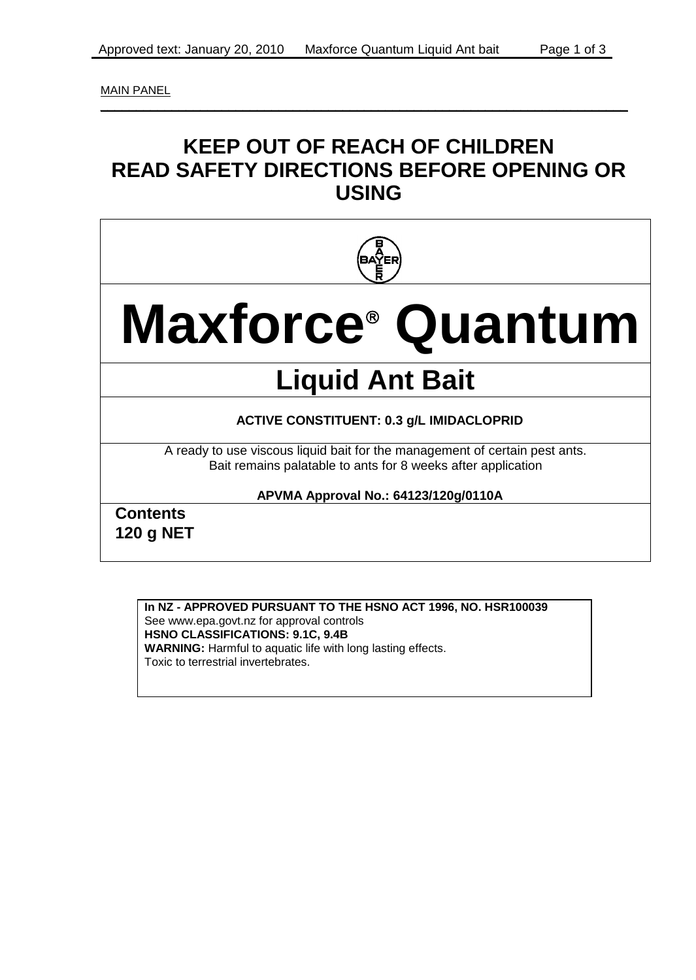MAIN PANEL

### **KEEP OUT OF REACH OF CHILDREN READ SAFETY DIRECTIONS BEFORE OPENING OR USING**

 $\_$  , and the set of the set of the set of the set of the set of the set of the set of the set of the set of the set of the set of the set of the set of the set of the set of the set of the set of the set of the set of th



# **Maxforce Quantum**

## **Liquid Ant Bait**

#### **ACTIVE CONSTITUENT: 0.3 g/L IMIDACLOPRID**

A ready to use viscous liquid bait for the management of certain pest ants. Bait remains palatable to ants for 8 weeks after application

#### **APVMA Approval No.: 64123/120g/0110A**

**Contents 120 g NET**

#### **In NZ - APPROVED PURSUANT TO THE HSNO ACT 1996, NO. HSR100039**

See www.epa.govt.nz for approval controls **HSNO CLASSIFICATIONS: 9.1C, 9.4B WARNING:** Harmful to aquatic life with long lasting effects. Toxic to terrestrial invertebrates.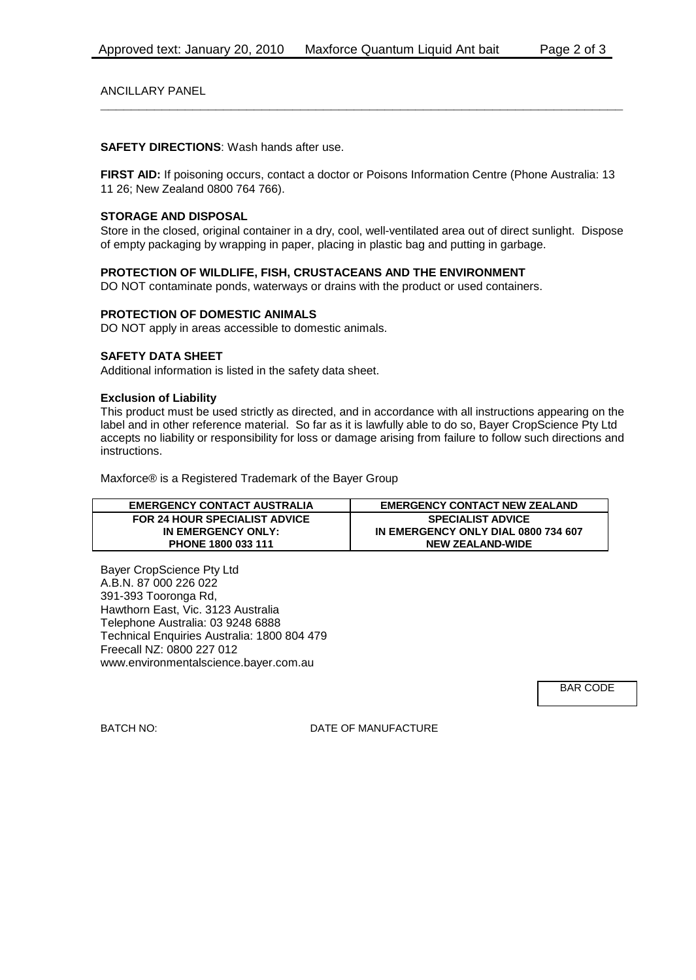ANCILLARY PANEL

**SAFETY DIRECTIONS**: Wash hands after use.

**FIRST AID:** If poisoning occurs, contact a doctor or Poisons Information Centre (Phone Australia: 13 11 26; New Zealand 0800 764 766).

**\_\_\_\_\_\_\_\_\_\_\_\_\_\_\_\_\_\_\_\_\_\_\_\_\_\_\_\_\_\_\_\_\_\_\_\_\_\_\_\_\_\_\_\_\_\_\_\_\_\_\_\_\_\_\_\_\_\_\_\_\_\_\_\_\_\_\_\_**

#### **STORAGE AND DISPOSAL**

Store in the closed, original container in a dry, cool, well-ventilated area out of direct sunlight. Dispose of empty packaging by wrapping in paper, placing in plastic bag and putting in garbage.

#### **PROTECTION OF WILDLIFE, FISH, CRUSTACEANS AND THE ENVIRONMENT**

DO NOT contaminate ponds, waterways or drains with the product or used containers.

#### **PROTECTION OF DOMESTIC ANIMALS**

DO NOT apply in areas accessible to domestic animals.

#### **SAFETY DATA SHEET**

Additional information is listed in the safety data sheet.

#### **Exclusion of Liability**

This product must be used strictly as directed, and in accordance with all instructions appearing on the label and in other reference material. So far as it is lawfully able to do so, Bayer CropScience Pty Ltd accepts no liability or responsibility for loss or damage arising from failure to follow such directions and instructions.

Maxforce® is a Registered Trademark of the Bayer Group

| <b>EMERGENCY CONTACT AUSTRALIA</b>   | <b>EMERGENCY CONTACT NEW ZEALAND</b> |
|--------------------------------------|--------------------------------------|
| <b>FOR 24 HOUR SPECIALIST ADVICE</b> | <b>SPECIALIST ADVICE</b>             |
| IN EMERGENCY ONLY:                   | IN EMERGENCY ONLY DIAL 0800 734 607  |
| PHONE 1800 033 111                   | <b>NEW ZEALAND-WIDE</b>              |

Bayer CropScience Pty Ltd A.B.N. 87 000 226 022 391-393 Tooronga Rd, Hawthorn East, Vic. 3123 Australia Telephone Australia: 03 9248 6888 Technical Enquiries Australia: 1800 804 479 Freecall NZ: 0800 227 012 www.environmentalscience.bayer.com.au

BAR CODE

BATCH NO: DATE OF MANUFACTURE